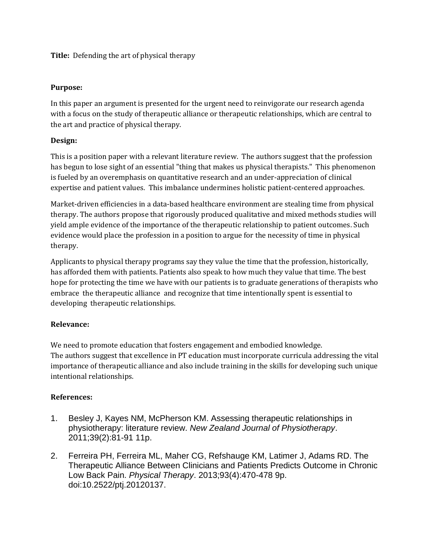### **Title:** Defending the art of physical therapy

#### **Purpose:**

In this paper an argument is presented for the urgent need to reinvigorate our research agenda with a focus on the study of therapeutic alliance or therapeutic relationships, which are central to the art and practice of physical therapy.

### **Design:**

This is a position paper with a relevant literature review. The authors suggest that the profession has begun to lose sight of an essential "thing that makes us physical therapists." This phenomenon is fueled by an overemphasis on quantitative research and an under-appreciation of clinical expertise and patient values. This imbalance undermines holistic patient-centered approaches.

Market-driven efficiencies in a data-based healthcare environment are stealing time from physical therapy. The authors propose that rigorously produced qualitative and mixed methods studies will yield ample evidence of the importance of the therapeutic relationship to patient outcomes. Such evidence would place the profession in a position to argue for the necessity of time in physical therapy.

Applicants to physical therapy programs say they value the time that the profession, historically, has afforded them with patients. Patients also speak to how much they value that time. The best hope for protecting the time we have with our patients is to graduate generations of therapists who embrace the therapeutic alliance and recognize that time intentionally spent is essential to developing therapeutic relationships.

# **Relevance:**

We need to promote education that fosters engagement and embodied knowledge. The authors suggest that excellence in PT education must incorporate curricula addressing the vital importance of therapeutic alliance and also include training in the skills for developing such unique intentional relationships.

# **References:**

- 1. Besley J, Kayes NM, McPherson KM. Assessing therapeutic relationships in physiotherapy: literature review. *New Zealand Journal of Physiotherapy*. 2011;39(2):81-91 11p.
- 2. Ferreira PH, Ferreira ML, Maher CG, Refshauge KM, Latimer J, Adams RD. The Therapeutic Alliance Between Clinicians and Patients Predicts Outcome in Chronic Low Back Pain. *Physical Therapy*. 2013;93(4):470-478 9p. doi:10.2522/ptj.20120137.